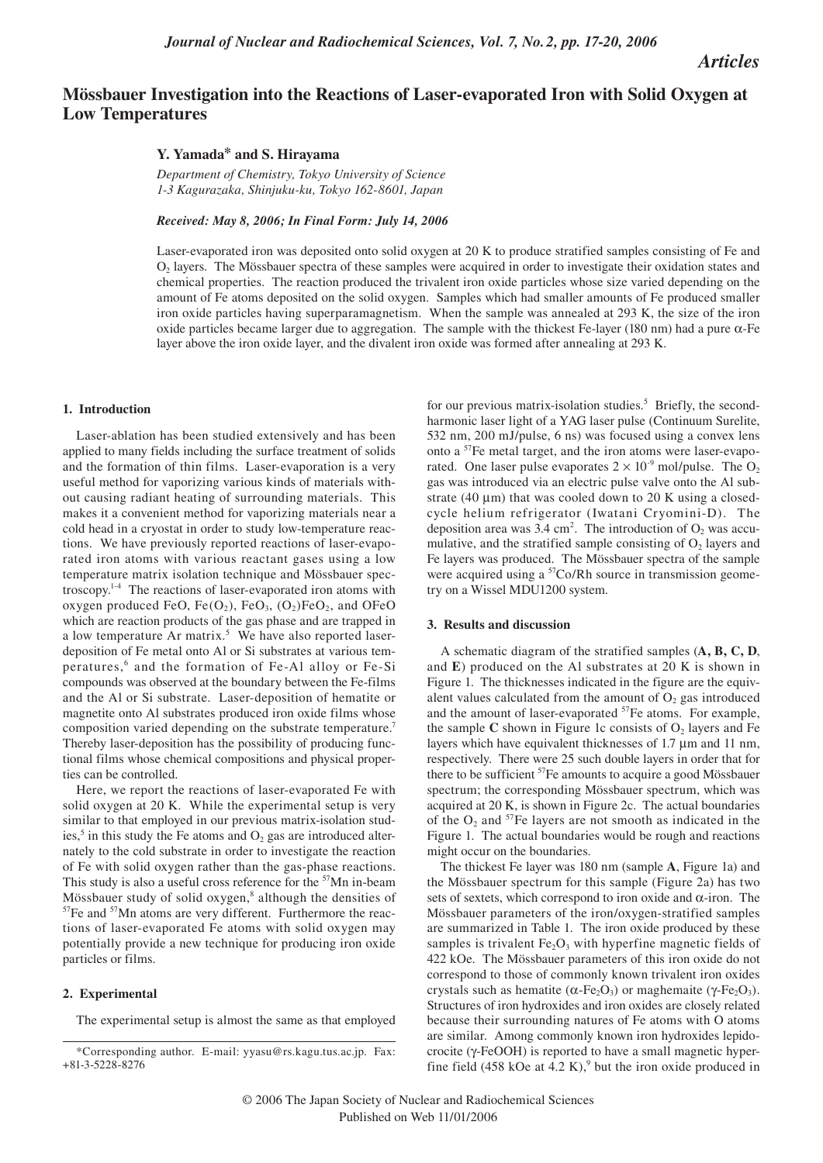*Articles*

# **Mössbauer Investigation into the Reactions of Laser-evaporated Iron with Solid Oxygen at Low Temperatures**

## **Y. Yamada\* and S. Hirayama**

*Department of Chemistry, Tokyo University of Science 1-3 Kagurazaka, Shinjuku-ku, Tokyo 162-8601, Japan*

*Received: May 8, 2006; In Final Form: July 14, 2006*

Laser-evaporated iron was deposited onto solid oxygen at 20 K to produce stratified samples consisting of Fe and O2 layers. The Mössbauer spectra of these samples were acquired in order to investigate their oxidation states and chemical properties. The reaction produced the trivalent iron oxide particles whose size varied depending on the amount of Fe atoms deposited on the solid oxygen. Samples which had smaller amounts of Fe produced smaller iron oxide particles having superparamagnetism. When the sample was annealed at 293 K, the size of the iron oxide particles became larger due to aggregation. The sample with the thickest Fe-layer (180 nm) had a pure α-Fe layer above the iron oxide layer, and the divalent iron oxide was formed after annealing at 293 K.

### **1. Introduction**

Laser-ablation has been studied extensively and has been applied to many fields including the surface treatment of solids and the formation of thin films. Laser-evaporation is a very useful method for vaporizing various kinds of materials without causing radiant heating of surrounding materials. This makes it a convenient method for vaporizing materials near a cold head in a cryostat in order to study low-temperature reactions. We have previously reported reactions of laser-evaporated iron atoms with various reactant gases using a low temperature matrix isolation technique and Mössbauer spectroscopy.1-4 The reactions of laser-evaporated iron atoms with oxygen produced FeO, Fe $(O_2)$ , FeO<sub>3</sub>,  $(O_2)$ FeO<sub>2</sub>, and OFeO which are reaction products of the gas phase and are trapped in a low temperature Ar matrix.<sup>5</sup> We have also reported laserdeposition of Fe metal onto Al or Si substrates at various temperatures,<sup>6</sup> and the formation of Fe-Al alloy or Fe-Si compounds was observed at the boundary between the Fe-films and the Al or Si substrate. Laser-deposition of hematite or magnetite onto Al substrates produced iron oxide films whose composition varied depending on the substrate temperature.<sup>7</sup> Thereby laser-deposition has the possibility of producing functional films whose chemical compositions and physical properties can be controlled.

Here, we report the reactions of laser-evaporated Fe with solid oxygen at 20 K. While the experimental setup is very similar to that employed in our previous matrix-isolation studies,<sup>5</sup> in this study the Fe atoms and  $O_2$  gas are introduced alternately to the cold substrate in order to investigate the reaction of Fe with solid oxygen rather than the gas-phase reactions. This study is also a useful cross reference for the <sup>57</sup>Mn in-beam Mössbauer study of solid oxygen,<sup>8</sup> although the densities of  $57$ Fe and  $57$ Mn atoms are very different. Furthermore the reactions of laser-evaporated Fe atoms with solid oxygen may potentially provide a new technique for producing iron oxide particles or films.

### **2. Experimental**

The experimental setup is almost the same as that employed

for our previous matrix-isolation studies.<sup>5</sup> Briefly, the secondharmonic laser light of a YAG laser pulse (Continuum Surelite, 532 nm, 200 mJ/pulse, 6 ns) was focused using a convex lens onto a 57Fe metal target, and the iron atoms were laser-evaporated. One laser pulse evaporates  $2 \times 10^{-9}$  mol/pulse. The O<sub>2</sub> gas was introduced via an electric pulse valve onto the Al substrate (40 µm) that was cooled down to 20 K using a closedcycle helium refrigerator (Iwatani Cryomini-D). The deposition area was  $3.4 \text{ cm}^2$ . The introduction of  $O_2$  was accumulative, and the stratified sample consisting of  $O_2$  layers and Fe layers was produced. The Mössbauer spectra of the sample were acquired using a <sup>57</sup>Co/Rh source in transmission geometry on a Wissel MDU1200 system.

### **3. Results and discussion**

A schematic diagram of the stratified samples (**A, B, C, D**, and **E**) produced on the Al substrates at 20 K is shown in Figure 1. The thicknesses indicated in the figure are the equivalent values calculated from the amount of  $O<sub>2</sub>$  gas introduced and the amount of laser-evaporated <sup>57</sup>Fe atoms. For example, the sample  $C$  shown in Figure 1c consists of  $O_2$  layers and Fe layers which have equivalent thicknesses of 1.7 µm and 11 nm, respectively. There were 25 such double layers in order that for there to be sufficient <sup>57</sup>Fe amounts to acquire a good Mössbauer spectrum; the corresponding Mössbauer spectrum, which was acquired at 20 K, is shown in Figure 2c. The actual boundaries of the  $O_2$  and <sup>57</sup>Fe layers are not smooth as indicated in the Figure 1. The actual boundaries would be rough and reactions might occur on the boundaries.

The thickest Fe layer was 180 nm (sample **A**, Figure 1a) and the Mössbauer spectrum for this sample (Figure 2a) has two sets of sextets, which correspond to iron oxide and  $\alpha$ -iron. The Mössbauer parameters of the iron/oxygen-stratified samples are summarized in Table 1. The iron oxide produced by these samples is trivalent  $Fe<sub>2</sub>O<sub>3</sub>$  with hyperfine magnetic fields of 422 kOe. The Mössbauer parameters of this iron oxide do not correspond to those of commonly known trivalent iron oxides crystals such as hematite ( $\alpha$ -Fe<sub>2</sub>O<sub>3</sub>) or maghemaite (γ-Fe<sub>2</sub>O<sub>3</sub>). Structures of iron hydroxides and iron oxides are closely related because their surrounding natures of Fe atoms with O atoms are similar. Among commonly known iron hydroxides lepidocrocite (γ-FeOOH) is reported to have a small magnetic hyperfine field  $(458 \text{ kOe at } 4.2 \text{ K})$ ,<sup>9</sup> but the iron oxide produced in

<sup>\*</sup>Corresponding author. E-mail: yyasu@rs.kagu.tus.ac.jp. Fax: +81-3-5228-8276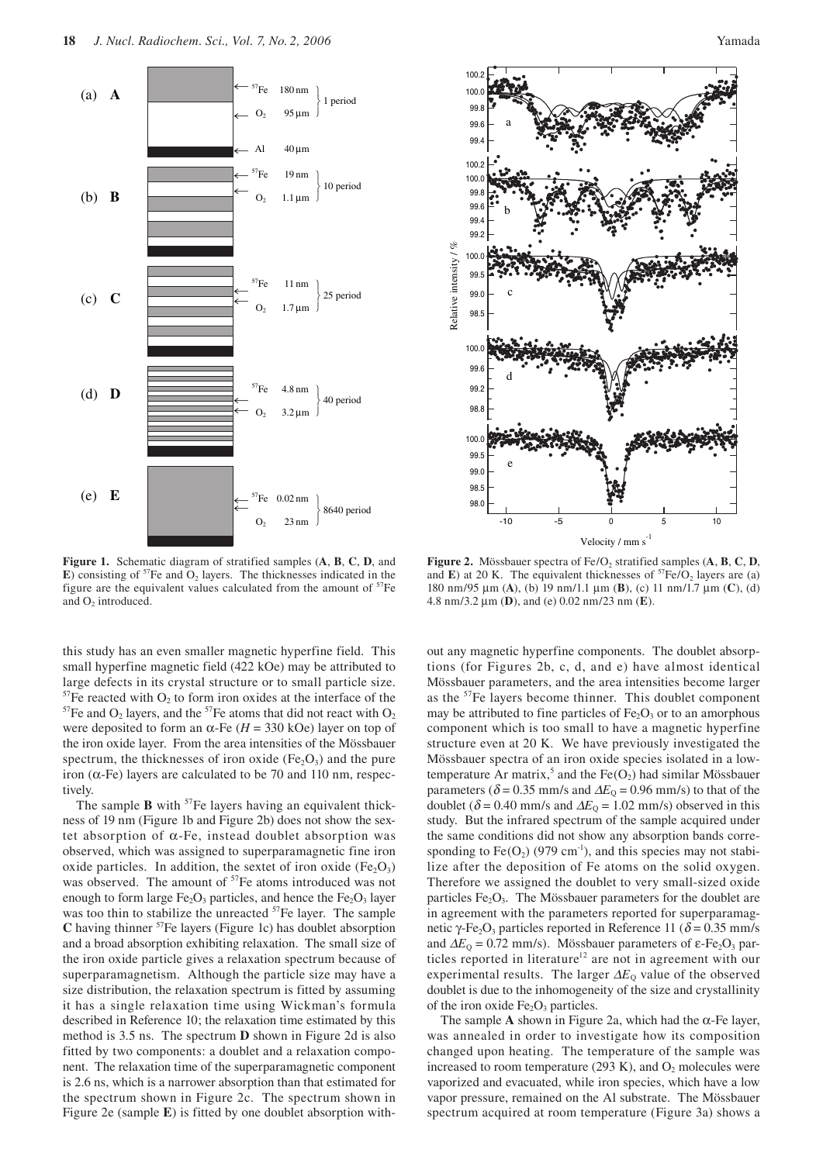

**Figure 1.** Schematic diagram of stratified samples (**A**, **B**, **C**, **D**, and  $\bf{E}$ ) consisting of <sup>57</sup>Fe and  $\rm{O}_2$  layers. The thicknesses indicated in the figure are the equivalent values calculated from the amount of  $57Fe$ and O<sub>2</sub> introduced.

this study has an even smaller magnetic hyperfine field. This small hyperfine magnetic field (422 kOe) may be attributed to large defects in its crystal structure or to small particle size. <sup>57</sup>Fe reacted with O<sub>2</sub> to form iron oxides at the interface of the  $57$ Fe and O<sub>2</sub> layers, and the  $57$ Fe atoms that did not react with O<sub>2</sub> were deposited to form an  $\alpha$ -Fe ( $H = 330$  kOe) layer on top of the iron oxide layer. From the area intensities of the Mössbauer spectrum, the thicknesses of iron oxide ( $Fe<sub>2</sub>O<sub>3</sub>$ ) and the pure iron (α-Fe) layers are calculated to be 70 and 110 nm, respectively.

The sample **B** with <sup>57</sup>Fe layers having an equivalent thickness of 19 nm (Figure 1b and Figure 2b) does not show the sextet absorption of α-Fe, instead doublet absorption was observed, which was assigned to superparamagnetic fine iron oxide particles. In addition, the sextet of iron oxide  $(Fe<sub>2</sub>O<sub>3</sub>)$ was observed. The amount of <sup>57</sup>Fe atoms introduced was not enough to form large  $Fe<sub>2</sub>O<sub>3</sub>$  particles, and hence the  $Fe<sub>2</sub>O<sub>3</sub>$  layer was too thin to stabilize the unreacted <sup>57</sup>Fe layer. The sample **C** having thinner 57Fe layers (Figure 1c) has doublet absorption and a broad absorption exhibiting relaxation. The small size of the iron oxide particle gives a relaxation spectrum because of superparamagnetism. Although the particle size may have a size distribution, the relaxation spectrum is fitted by assuming it has a single relaxation time using Wickman's formula described in Reference 10; the relaxation time estimated by this method is 3.5 ns. The spectrum **D** shown in Figure 2d is also fitted by two components: a doublet and a relaxation component. The relaxation time of the superparamagnetic component is 2.6 ns, which is a narrower absorption than that estimated for the spectrum shown in Figure 2c. The spectrum shown in Figure 2e (sample **E**) is fitted by one doublet absorption with-



**Figure 2.** Mössbauer spectra of  $Fe/O_2$  stratified samples  $(A, B, C, D)$ and **E**) at 20 K. The equivalent thicknesses of  ${}^{57}Fe/O_2$  layers are (a) 180 nm/95 µm (**A**), (b) 19 nm/1.1 µm (**B**), (c) 11 nm/1.7 µm (**C**), (d) 4.8 nm/3.2 µm (**D**), and (e) 0.02 nm/23 nm (**E**).

out any magnetic hyperfine components. The doublet absorptions (for Figures 2b, c, d, and e) have almost identical Mössbauer parameters, and the area intensities become larger as the <sup>57</sup>Fe layers become thinner. This doublet component may be attributed to fine particles of  $Fe<sub>2</sub>O<sub>3</sub>$  or to an amorphous component which is too small to have a magnetic hyperfine structure even at 20 K. We have previously investigated the Mössbauer spectra of an iron oxide species isolated in a lowtemperature Ar matrix,<sup>5</sup> and the  $Fe(O_2)$  had similar Mössbauer parameters ( $\delta$  = 0.35 mm/s and  $\Delta E_{\rm Q}$  = 0.96 mm/s) to that of the doublet ( $\delta$  = 0.40 mm/s and  $\Delta E$ <sub>0</sub> = 1.02 mm/s) observed in this study. But the infrared spectrum of the sample acquired under the same conditions did not show any absorption bands corresponding to  $Fe(O_2)$  (979 cm<sup>-1</sup>), and this species may not stabilize after the deposition of Fe atoms on the solid oxygen. Therefore we assigned the doublet to very small-sized oxide particles  $Fe<sub>2</sub>O<sub>3</sub>$ . The Mössbauer parameters for the doublet are in agreement with the parameters reported for superparamagnetic γ-Fe<sub>2</sub>O<sub>3</sub> particles reported in Reference 11 ( $\delta$  = 0.35 mm/s and  $\Delta E_0 = 0.72$  mm/s). Mössbauer parameters of  $\varepsilon$ -Fe<sub>2</sub>O<sub>3</sub> particles reported in literature<sup>12</sup> are not in agreement with our experimental results. The larger  $\Delta E_0$  value of the observed doublet is due to the inhomogeneity of the size and crystallinity of the iron oxide  $Fe<sub>2</sub>O<sub>3</sub>$  particles.

The sample **A** shown in Figure 2a, which had the  $\alpha$ -Fe layer, was annealed in order to investigate how its composition changed upon heating. The temperature of the sample was increased to room temperature (293 K), and  $O_2$  molecules were vaporized and evacuated, while iron species, which have a low vapor pressure, remained on the Al substrate. The Mössbauer spectrum acquired at room temperature (Figure 3a) shows a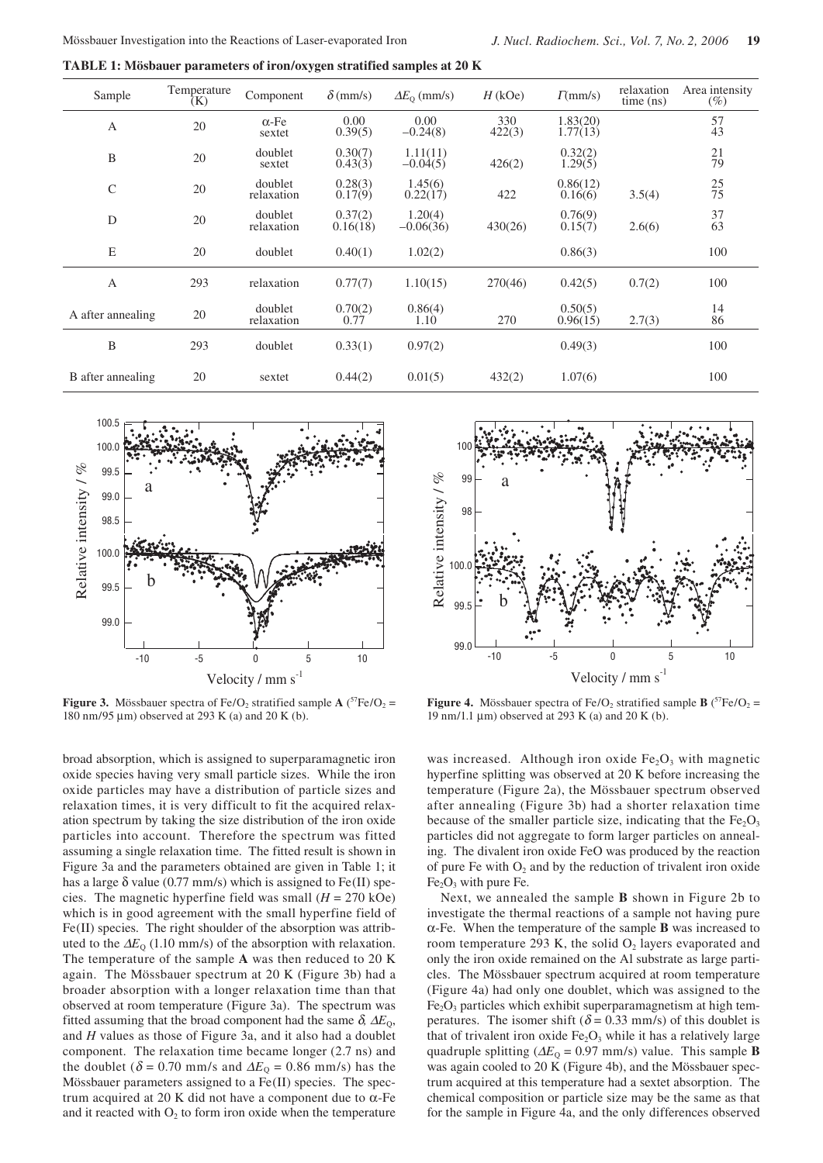**TABLE 1: Mösbauer parameters of iron/oxygen stratified samples at 20 K**

| Sample            | Temperature<br>(K) | Component              | $\delta$ (mm/s)     | $\Delta E_{\rm O}$ (mm/s) | $H$ (kOe)     | $\Gamma$ (mm/s)      | relaxation<br>time (ns) | Area intensity<br>$(\%)$ |
|-------------------|--------------------|------------------------|---------------------|---------------------------|---------------|----------------------|-------------------------|--------------------------|
| $\mathbf{A}$      | 20                 | $\alpha$ -Fe<br>sextet | 0.00<br>0.39(5)     | 0.00<br>$-0.24(8)$        | 330<br>422(3) | 1.83(20)<br>1.77(13) |                         | 57<br>43                 |
| B                 | 20                 | doublet<br>sextet      | 0.30(7)<br>0.43(3)  | 1.11(11)<br>$-0.04(5)$    | 426(2)        | 0.32(2)<br>1.29(5)   |                         | 21<br>79                 |
| $\mathcal{C}$     | 20                 | doublet<br>relaxation  | 0.28(3)<br>0.17(9)  | 1.45(6)<br>0.22(17)       | 422           | 0.86(12)<br>0.16(6)  | 3.5(4)                  | $\frac{25}{75}$          |
| D                 | 20                 | doublet<br>relaxation  | 0.37(2)<br>0.16(18) | 1.20(4)<br>$-0.06(36)$    | 430(26)       | 0.76(9)<br>0.15(7)   | 2.6(6)                  | 37<br>63                 |
| E                 | 20                 | doublet                | 0.40(1)             | 1.02(2)                   |               | 0.86(3)              |                         | 100                      |
| $\overline{A}$    | 293                | relaxation             | 0.77(7)             | 1.10(15)                  | 270(46)       | 0.42(5)              | 0.7(2)                  | 100                      |
| A after annealing | 20                 | doublet<br>relaxation  | 0.70(2)<br>0.77     | 0.86(4)<br>1.10           | 270           | 0.50(5)<br>0.96(15)  | 2.7(3)                  | 14<br>86                 |
| B                 | 293                | doublet                | 0.33(1)             | 0.97(2)                   |               | 0.49(3)              |                         | 100                      |
| B after annealing | 20                 | sextet                 | 0.44(2)             | 0.01(5)                   | 432(2)        | 1.07(6)              |                         | 100                      |



**Figure 3.** Mössbauer spectra of Fe/O<sub>2</sub> stratified sample  $\bf{A}$  (<sup>57</sup>Fe/O<sub>2</sub> = 180 nm/95 µm) observed at 293 K (a) and 20 K (b).

broad absorption, which is assigned to superparamagnetic iron oxide species having very small particle sizes. While the iron oxide particles may have a distribution of particle sizes and relaxation times, it is very difficult to fit the acquired relaxation spectrum by taking the size distribution of the iron oxide particles into account. Therefore the spectrum was fitted assuming a single relaxation time. The fitted result is shown in Figure 3a and the parameters obtained are given in Table 1; it has a large  $\delta$  value (0.77 mm/s) which is assigned to Fe(II) species. The magnetic hyperfine field was small  $(H = 270 \text{ kOe})$ which is in good agreement with the small hyperfine field of Fe(II) species. The right shoulder of the absorption was attributed to the  $\Delta E_0$  (1.10 mm/s) of the absorption with relaxation. The temperature of the sample **A** was then reduced to 20 K again. The Mössbauer spectrum at 20 K (Figure 3b) had a broader absorption with a longer relaxation time than that observed at room temperature (Figure 3a). The spectrum was fitted assuming that the broad component had the same  $\delta \Delta E_0$ , and *H* values as those of Figure 3a, and it also had a doublet component. The relaxation time became longer (2.7 ns) and the doublet ( $\delta$  = 0.70 mm/s and  $\Delta E_0$  = 0.86 mm/s) has the Mössbauer parameters assigned to a Fe(II) species. The spectrum acquired at 20 K did not have a component due to α-Fe and it reacted with  $O<sub>2</sub>$  to form iron oxide when the temperature



**Figure 4.** Mössbauer spectra of Fe/O<sub>2</sub> stratified sample **B** ( ${}^{57}Fe/O_2$  = 19 nm/1.1 µm) observed at 293 K (a) and 20 K (b).

was increased. Although iron oxide  $Fe<sub>2</sub>O<sub>3</sub>$  with magnetic hyperfine splitting was observed at 20 K before increasing the temperature (Figure 2a), the Mössbauer spectrum observed after annealing (Figure 3b) had a shorter relaxation time because of the smaller particle size, indicating that the  $Fe<sub>2</sub>O<sub>3</sub>$ particles did not aggregate to form larger particles on annealing. The divalent iron oxide FeO was produced by the reaction of pure Fe with  $O_2$  and by the reduction of trivalent iron oxide  $Fe<sub>2</sub>O<sub>3</sub>$  with pure Fe.

Next, we annealed the sample **B** shown in Figure 2b to investigate the thermal reactions of a sample not having pure α-Fe. When the temperature of the sample **B** was increased to room temperature 293 K, the solid  $O_2$  layers evaporated and only the iron oxide remained on the Al substrate as large particles. The Mössbauer spectrum acquired at room temperature (Figure 4a) had only one doublet, which was assigned to the  $Fe<sub>2</sub>O<sub>3</sub>$  particles which exhibit superparamagnetism at high temperatures. The isomer shift ( $\delta$  = 0.33 mm/s) of this doublet is that of trivalent iron oxide  $Fe<sub>2</sub>O<sub>3</sub>$  while it has a relatively large quadruple splitting ( $\Delta E_0 = 0.97$  mm/s) value. This sample **B** was again cooled to 20 K (Figure 4b), and the Mössbauer spectrum acquired at this temperature had a sextet absorption. The chemical composition or particle size may be the same as that for the sample in Figure 4a, and the only differences observed